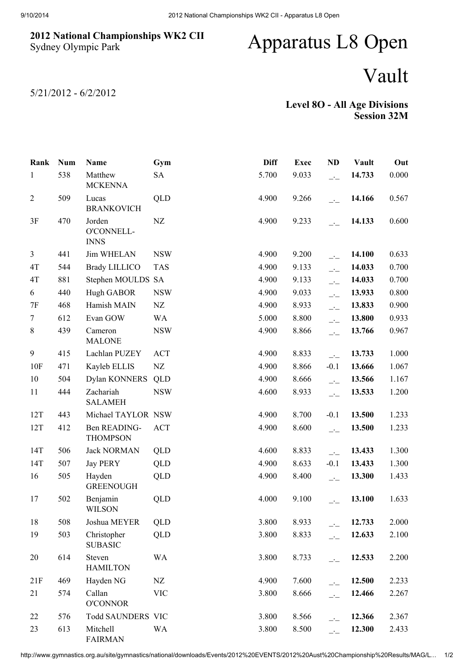## 2012 National Championships WK2 CII Sydney Olympic Park

## Apparatus L8 Open

## Vault

5/21/2012 - 6/2/2012

## Level 8O - All Age Divisions Session 32M

| Rank           | <b>Num</b> | Name                                | Gym        | <b>Diff</b> | <b>Exec</b> | <b>ND</b>                  | Vault  | Out   |
|----------------|------------|-------------------------------------|------------|-------------|-------------|----------------------------|--------|-------|
| $\mathbf{1}$   | 538        | Matthew<br><b>MCKENNA</b>           | <b>SA</b>  | 5.700       | 9.033       | $\overline{\phantom{a}}$   | 14.733 | 0.000 |
| $\overline{2}$ | 509        | Lucas<br><b>BRANKOVICH</b>          | QLD        | 4.900       | 9.266       | $\overline{\phantom{a}}$   | 14.166 | 0.567 |
| 3F             | 470        | Jorden<br>O'CONNELL-<br><b>INNS</b> | NZ         | 4.900       | 9.233       | $\overline{\phantom{a}}$   | 14.133 | 0.600 |
| 3              | 441        | <b>Jim WHELAN</b>                   | <b>NSW</b> | 4.900       | 9.200       | $-1$                       | 14.100 | 0.633 |
| 4T             | 544        | <b>Brady LILLICO</b>                | <b>TAS</b> | 4.900       | 9.133       | $\overline{\phantom{a}}$   | 14.033 | 0.700 |
| 4T             | 881        | Stephen MOULDS SA                   |            | 4.900       | 9.133       | $\overline{\phantom{a}}$   | 14.033 | 0.700 |
| 6              | 440        | Hugh GABOR                          | <b>NSW</b> | 4.900       | 9.033       | $\overline{\phantom{a}}$   | 13.933 | 0.800 |
| 7F             | 468        | Hamish MAIN                         | NZ         | 4.900       | 8.933       | $\overline{\phantom{a}}$   | 13.833 | 0.900 |
| $\tau$         | 612        | Evan GOW                            | WA         | 5.000       | 8.800       | $\overline{\phantom{a}}$   | 13.800 | 0.933 |
| $8\,$          | 439        | Cameron<br><b>MALONE</b>            | <b>NSW</b> | 4.900       | 8.866       | $\overline{\phantom{a}}$   | 13.766 | 0.967 |
| 9              | 415        | Lachlan PUZEY                       | <b>ACT</b> | 4.900       | 8.833       | $\overline{a}$             | 13.733 | 1.000 |
| 10F            | 471        | Kayleb ELLIS                        | NZ         | 4.900       | 8.866       | $-0.1$                     | 13.666 | 1.067 |
| 10             | 504        | Dylan KONNERS                       | QLD        | 4.900       | 8.666       | $\overline{\phantom{a}}$   | 13.566 | 1.167 |
| 11             | 444        | Zachariah<br><b>SALAMEH</b>         | <b>NSW</b> | 4.600       | 8.933       | $\overline{\phantom{a}}$   | 13.533 | 1.200 |
| 12T            | 443        | Michael TAYLOR NSW                  |            | 4.900       | 8.700       | $-0.1$                     | 13.500 | 1.233 |
| 12T            | 412        | Ben READING-<br><b>THOMPSON</b>     | <b>ACT</b> | 4.900       | 8.600       | $\overline{\phantom{a}}$   | 13.500 | 1.233 |
| 14T            | 506        | <b>Jack NORMAN</b>                  | <b>QLD</b> | 4.600       | 8.833       | $\overline{\phantom{a}}$ : | 13.433 | 1.300 |
| 14T            | 507        | <b>Jay PERY</b>                     | QLD        | 4.900       | 8.633       | $-0.1$                     | 13.433 | 1.300 |
| 16             | 505        | Hayden<br><b>GREENOUGH</b>          | QLD        | 4.900       | 8.400       | $\overline{\phantom{a}}$   | 13.300 | 1.433 |
| 17             | 502        | Benjamin<br><b>WILSON</b>           | QLD        | 4.000       | 9.100       | $ -$                       | 13.100 | 1.633 |
| 18             | 508        | Joshua MEYER                        | QLD        | 3.800       | 8.933       | $\overline{a}$             | 12.733 | 2.000 |
| 19             | 503        | Christopher<br><b>SUBASIC</b>       | QLD        | 3.800       | 8.833       | $\overline{a}$             | 12.633 | 2.100 |
| 20             | 614        | Steven<br><b>HAMILTON</b>           | <b>WA</b>  | 3.800       | 8.733       | $\overline{\phantom{a}}$   | 12.533 | 2.200 |
| 21F            | 469        | Hayden NG                           | NZ         | 4.900       | 7.600       | $\overline{\phantom{a}}$   | 12.500 | 2.233 |
| 21             | 574        | Callan<br><b>O'CONNOR</b>           | <b>VIC</b> | 3.800       | 8.666       | $\overline{\phantom{a}}$   | 12.466 | 2.267 |
| 22             | 576        | Todd SAUNDERS VIC                   |            | 3.800       | 8.566       | $-1$                       | 12.366 | 2.367 |
| 23             | 613        | Mitchell<br><b>FAIRMAN</b>          | <b>WA</b>  | 3.800       | 8.500       | $-1$                       | 12.300 | 2.433 |